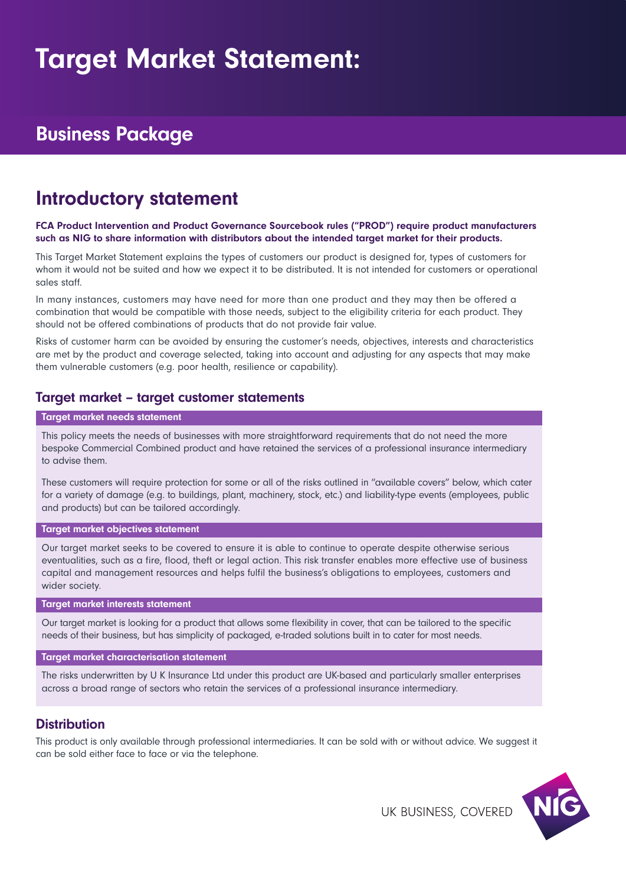# Target Market Statement:

# Business Package

# Introductory statement

#### FCA Product Intervention and Product Governance Sourcebook rules ("PROD") require product manufacturers such as NIG to share information with distributors about the intended target market for their products.

This Target Market Statement explains the types of customers our product is designed for, types of customers for whom it would not be suited and how we expect it to be distributed. It is not intended for customers or operational sales staff.

In many instances, customers may have need for more than one product and they may then be offered a combination that would be compatible with those needs, subject to the eligibility criteria for each product. They should not be offered combinations of products that do not provide fair value.

Risks of customer harm can be avoided by ensuring the customer's needs, objectives, interests and characteristics are met by the product and coverage selected, taking into account and adjusting for any aspects that may make them vulnerable customers (e.g. poor health, resilience or capability).

### Target market – target customer statements

#### Target market needs statement

This policy meets the needs of businesses with more straightforward requirements that do not need the more bespoke Commercial Combined product and have retained the services of a professional insurance intermediary to advise them.

These customers will require protection for some or all of the risks outlined in "available covers" below, which cater for a variety of damage (e.g. to buildings, plant, machinery, stock, etc.) and liability-type events (employees, public and products) but can be tailored accordingly.

#### Target market objectives statement

Our target market seeks to be covered to ensure it is able to continue to operate despite otherwise serious eventualities, such as a fire, flood, theft or legal action. This risk transfer enables more effective use of business capital and management resources and helps fulfil the business's obligations to employees, customers and wider society.

#### Target market interests statement

Our target market is looking for a product that allows some flexibility in cover, that can be tailored to the specific needs of their business, but has simplicity of packaged, e-traded solutions built in to cater for most needs.

#### Target market characterisation statement

The risks underwritten by U K Insurance Ltd under this product are UK-based and particularly smaller enterprises across a broad range of sectors who retain the services of a professional insurance intermediary.

### **Distribution**

This product is only available through professional intermediaries. It can be sold with or without advice. We suggest it can be sold either face to face or via the telephone.



UK BUSINESS, COVERED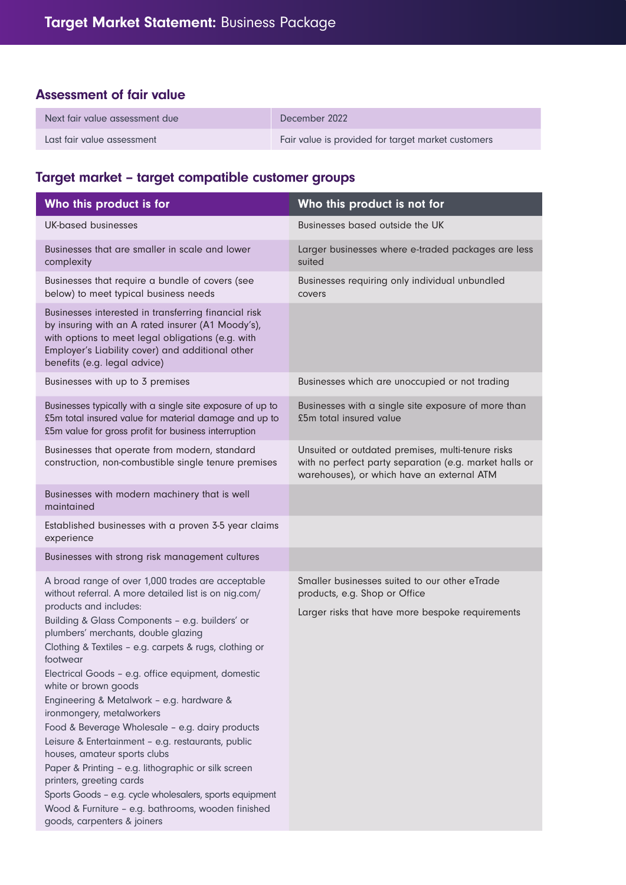## Assessment of fair value

| Next fair value assessment due | December 2022                                      |
|--------------------------------|----------------------------------------------------|
| Last fair value assessment     | Fair value is provided for target market customers |

# Target market – target compatible customer groups

| Who this product is for                                                                                                                                                                                                                                                                                                                                                                                                                                                                                                                                                                                                                                                                                                                                                                                                                  | Who this product is not for                                                                                                                               |  |
|------------------------------------------------------------------------------------------------------------------------------------------------------------------------------------------------------------------------------------------------------------------------------------------------------------------------------------------------------------------------------------------------------------------------------------------------------------------------------------------------------------------------------------------------------------------------------------------------------------------------------------------------------------------------------------------------------------------------------------------------------------------------------------------------------------------------------------------|-----------------------------------------------------------------------------------------------------------------------------------------------------------|--|
| <b>UK-based businesses</b>                                                                                                                                                                                                                                                                                                                                                                                                                                                                                                                                                                                                                                                                                                                                                                                                               | Businesses based outside the UK                                                                                                                           |  |
| Businesses that are smaller in scale and lower<br>complexity                                                                                                                                                                                                                                                                                                                                                                                                                                                                                                                                                                                                                                                                                                                                                                             | Larger businesses where e-traded packages are less<br>suited                                                                                              |  |
| Businesses that require a bundle of covers (see<br>below) to meet typical business needs                                                                                                                                                                                                                                                                                                                                                                                                                                                                                                                                                                                                                                                                                                                                                 | Businesses requiring only individual unbundled<br>covers                                                                                                  |  |
| Businesses interested in transferring financial risk<br>by insuring with an A rated insurer (A1 Moody's),<br>with options to meet legal obligations (e.g. with<br>Employer's Liability cover) and additional other<br>benefits (e.g. legal advice)                                                                                                                                                                                                                                                                                                                                                                                                                                                                                                                                                                                       |                                                                                                                                                           |  |
| Businesses with up to 3 premises                                                                                                                                                                                                                                                                                                                                                                                                                                                                                                                                                                                                                                                                                                                                                                                                         | Businesses which are unoccupied or not trading                                                                                                            |  |
| Businesses typically with a single site exposure of up to<br>£5m total insured value for material damage and up to<br>£5m value for gross profit for business interruption                                                                                                                                                                                                                                                                                                                                                                                                                                                                                                                                                                                                                                                               | Businesses with a single site exposure of more than<br>£5m total insured value                                                                            |  |
| Businesses that operate from modern, standard<br>construction, non-combustible single tenure premises                                                                                                                                                                                                                                                                                                                                                                                                                                                                                                                                                                                                                                                                                                                                    | Unsuited or outdated premises, multi-tenure risks<br>with no perfect party separation (e.g. market halls or<br>warehouses), or which have an external ATM |  |
| Businesses with modern machinery that is well<br>maintained                                                                                                                                                                                                                                                                                                                                                                                                                                                                                                                                                                                                                                                                                                                                                                              |                                                                                                                                                           |  |
| Established businesses with a proven 3-5 year claims<br>experience                                                                                                                                                                                                                                                                                                                                                                                                                                                                                                                                                                                                                                                                                                                                                                       |                                                                                                                                                           |  |
| Businesses with strong risk management cultures                                                                                                                                                                                                                                                                                                                                                                                                                                                                                                                                                                                                                                                                                                                                                                                          |                                                                                                                                                           |  |
| A broad range of over 1,000 trades are acceptable<br>without referral. A more detailed list is on nig.com/<br>products and includes:<br>Building & Glass Components - e.g. builders' or<br>plumbers' merchants, double glazing<br>Clothing & Textiles - e.g. carpets & rugs, clothing or<br>footwear<br>Electrical Goods - e.g. office equipment, domestic<br>white or brown goods<br>Engineering & Metalwork - e.g. hardware &<br>ironmongery, metalworkers<br>Food & Beverage Wholesale - e.g. dairy products<br>Leisure & Entertainment - e.g. restaurants, public<br>houses, amateur sports clubs<br>Paper & Printing - e.g. lithographic or silk screen<br>printers, greeting cards<br>Sports Goods - e.g. cycle wholesalers, sports equipment<br>Wood & Furniture - e.g. bathrooms, wooden finished<br>goods, carpenters & joiners | Smaller businesses suited to our other eTrade<br>products, e.g. Shop or Office<br>Larger risks that have more bespoke requirements                        |  |